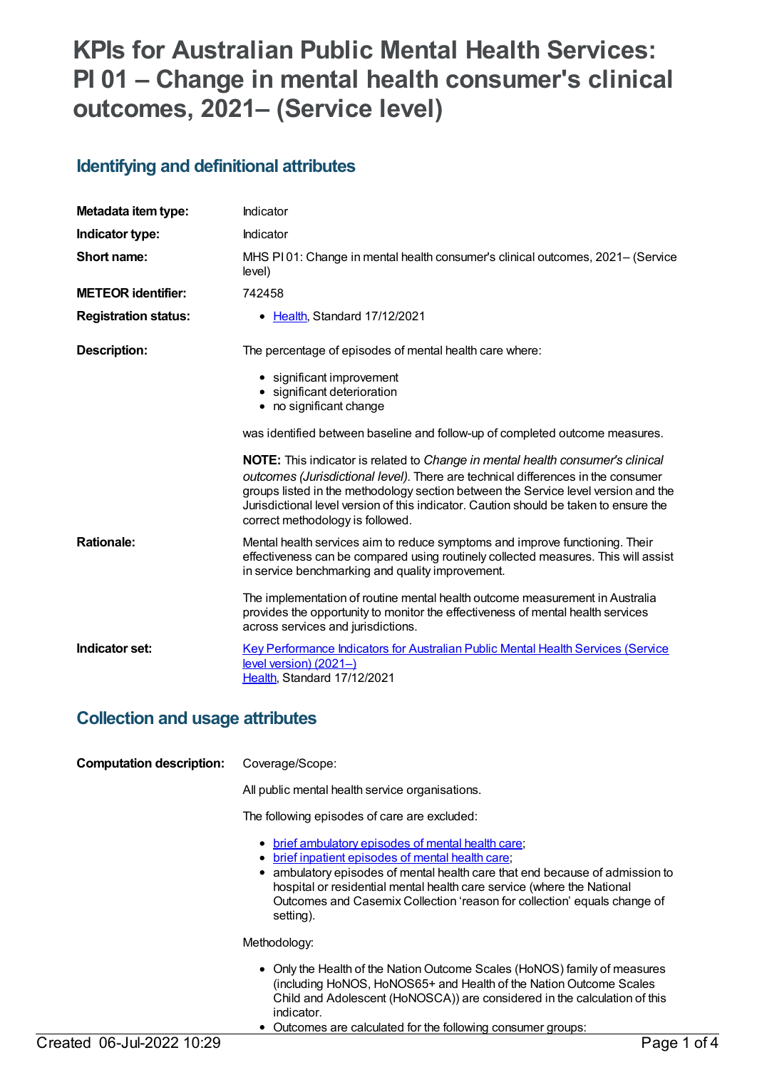# **KPIs for Australian Public Mental Health Services: PI 01 – Change in mental health consumer's clinical outcomes, 2021– (Service level)**

### **Identifying and definitional attributes**

| Metadata item type:         | Indicator                                                                                                                                                                                                                                                                                                                                                                                    |
|-----------------------------|----------------------------------------------------------------------------------------------------------------------------------------------------------------------------------------------------------------------------------------------------------------------------------------------------------------------------------------------------------------------------------------------|
| Indicator type:             | Indicator                                                                                                                                                                                                                                                                                                                                                                                    |
| Short name:                 | MHS PI01: Change in mental health consumer's clinical outcomes, 2021– (Service<br>level)                                                                                                                                                                                                                                                                                                     |
| <b>METEOR</b> identifier:   | 742458                                                                                                                                                                                                                                                                                                                                                                                       |
| <b>Registration status:</b> | • Health, Standard 17/12/2021                                                                                                                                                                                                                                                                                                                                                                |
| Description:                | The percentage of episodes of mental health care where:                                                                                                                                                                                                                                                                                                                                      |
|                             | • significant improvement<br>• significant deterioration<br>• no significant change                                                                                                                                                                                                                                                                                                          |
|                             | was identified between baseline and follow-up of completed outcome measures.                                                                                                                                                                                                                                                                                                                 |
|                             | <b>NOTE:</b> This indicator is related to Change in mental health consumer's clinical<br>outcomes (Jurisdictional level). There are technical differences in the consumer<br>groups listed in the methodology section between the Service level version and the<br>Jurisdictional level version of this indicator. Caution should be taken to ensure the<br>correct methodology is followed. |
| <b>Rationale:</b>           | Mental health services aim to reduce symptoms and improve functioning. Their<br>effectiveness can be compared using routinely collected measures. This will assist<br>in service benchmarking and quality improvement.                                                                                                                                                                       |
|                             | The implementation of routine mental health outcome measurement in Australia<br>provides the opportunity to monitor the effectiveness of mental health services<br>across services and jurisdictions.                                                                                                                                                                                        |
| Indicator set:              | Key Performance Indicators for Australian Public Mental Health Services (Service<br>$level version) (2021-)$<br>Health, Standard 17/12/2021                                                                                                                                                                                                                                                  |

#### **Collection and usage attributes**

| <b>Computation description:</b> | Coverage/Scope:                                                                                                                                                                                                                                                                                                                                             |
|---------------------------------|-------------------------------------------------------------------------------------------------------------------------------------------------------------------------------------------------------------------------------------------------------------------------------------------------------------------------------------------------------------|
|                                 | All public mental health service organisations.                                                                                                                                                                                                                                                                                                             |
|                                 | The following episodes of care are excluded:                                                                                                                                                                                                                                                                                                                |
|                                 | • brief ambulatory episodes of mental health care:<br>brief inpatient episodes of mental health care;<br>٠<br>ambulatory episodes of mental health care that end because of admission to<br>hospital or residential mental health care service (where the National<br>Outcomes and Casemix Collection 'reason for collection' equals change of<br>setting). |
|                                 | Methodology:                                                                                                                                                                                                                                                                                                                                                |
|                                 | • Only the Health of the Nation Outcome Scales (HoNOS) family of measures<br>(including HoNOS, HoNOS65+ and Health of the Nation Outcome Scales<br>Child and Adolescent (HoNOSCA)) are considered in the calculation of this<br>indicator.<br>Outcomes are calculated for the following consumer groups:                                                    |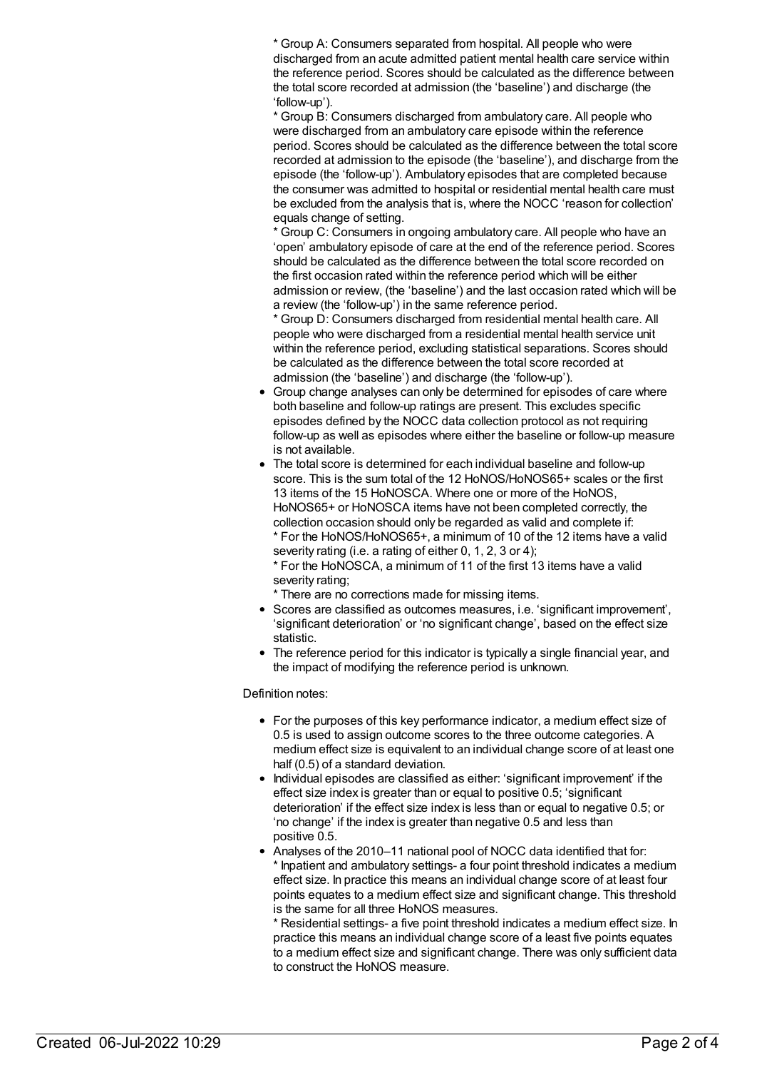\* Group A: Consumers separated from hospital. All people who were discharged from an acute admitted patient mental health care service within the reference period. Scores should be calculated as the difference between the total score recorded at admission (the 'baseline') and discharge (the 'follow-up').

\* Group B: Consumers discharged from ambulatory care. All people who were discharged from an ambulatory care episode within the reference period. Scores should be calculated as the difference between the total score recorded at admission to the episode (the 'baseline'), and discharge from the episode (the 'follow-up'). Ambulatory episodes that are completed because the consumer was admitted to hospital or residential mental health care must be excluded from the analysis that is, where the NOCC 'reason for collection' equals change of setting.

\* Group C: Consumers in ongoing ambulatory care. All people who have an 'open' ambulatory episode of care at the end of the reference period. Scores should be calculated as the difference between the total score recorded on the first occasion rated within the reference period which will be either admission or review, (the 'baseline') and the last occasion rated which will be a review (the 'follow-up') in the same reference period.

\* Group D: Consumers discharged from residential mental health care. All people who were discharged from a residential mental health service unit within the reference period, excluding statistical separations. Scores should be calculated as the difference between the total score recorded at admission (the 'baseline') and discharge (the 'follow-up').

- Group change analyses can only be determined for episodes of care where both baseline and follow-up ratings are present. This excludes specific episodes defined by the NOCC data collection protocol as not requiring follow-up as well as episodes where either the baseline or follow-up measure is not available.
- The total score is determined for each individual baseline and follow-up score. This is the sum total of the 12 HoNOS/HoNOS65+ scales or the first 13 items of the 15 HoNOSCA. Where one or more of the HoNOS, HoNOS65+ or HoNOSCA items have not been completed correctly, the collection occasion should only be regarded as valid and complete if: \* For the HoNOS/HoNOS65+, a minimum of 10 of the 12 items have a valid severity rating (i.e. a rating of either 0, 1, 2, 3 or 4);

\* For the HoNOSCA, a minimum of 11 of the first 13 items have a valid severity rating;

\* There are no corrections made for missing items.

- Scores are classified as outcomes measures, i.e. 'significant improvement', 'significant deterioration' or 'no significant change', based on the effect size statistic.
- The reference period for this indicator is typically a single financial year, and the impact of modifying the reference period is unknown.

#### Definition notes:

- For the purposes of this key performance indicator, a medium effect size of 0.5 is used to assign outcome scores to the three outcome categories. A medium effect size is equivalent to an individual change score of at least one half (0.5) of a standard deviation.
- Individual episodes are classified as either: 'significant improvement' if the effect size index is greater than or equal to positive 0.5; 'significant deterioration' if the effect size index is less than or equal to negative 0.5; or 'no change' if the index is greater than negative 0.5 and less than positive 0.5.
- Analyses of the 2010–11 national pool of NOCC data identified that for: Inpatient and ambulatory settings- a four point threshold indicates a medium effect size. In practice this means an individual change score of at least four points equates to a medium effect size and significant change. This threshold is the same for all three HoNOS measures.

\* Residential settings- a five point threshold indicates a medium effect size. In practice this means an individual change score of a least five points equates to a medium effect size and significant change. There was only sufficient data to construct the HoNOS measure.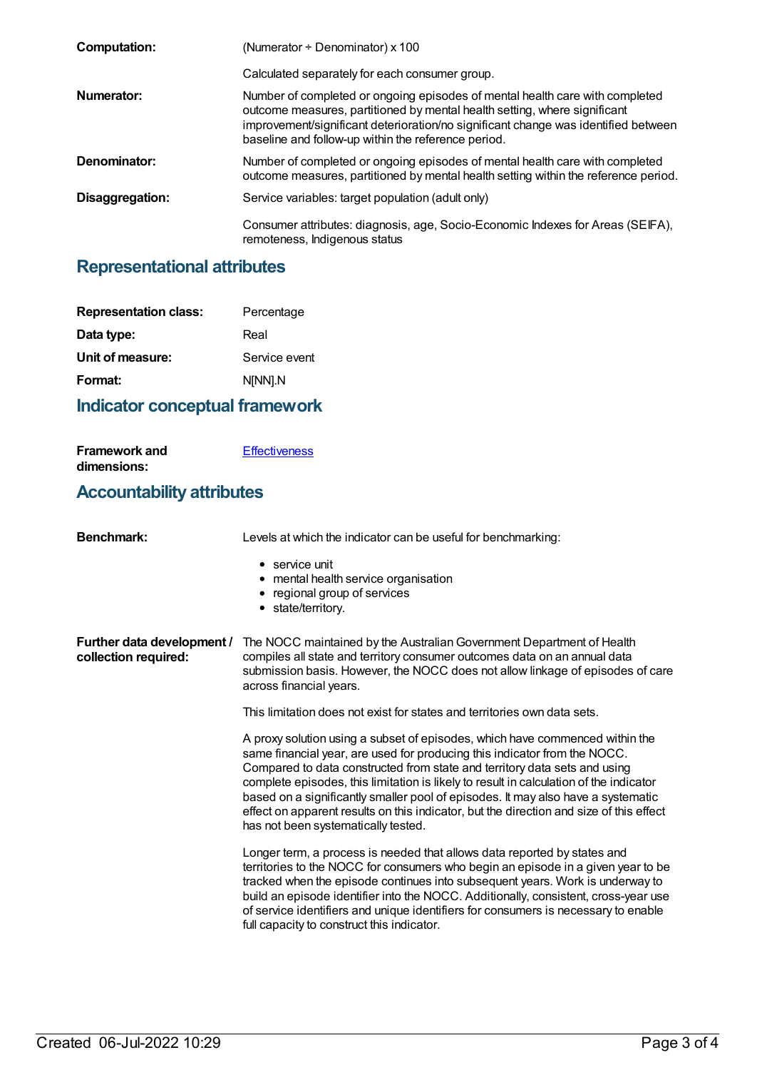| <b>Computation:</b> | (Numerator $\div$ Denominator) x 100                                                                                                                                                                                                                                                                   |
|---------------------|--------------------------------------------------------------------------------------------------------------------------------------------------------------------------------------------------------------------------------------------------------------------------------------------------------|
|                     | Calculated separately for each consumer group.                                                                                                                                                                                                                                                         |
| Numerator:          | Number of completed or ongoing episodes of mental health care with completed<br>outcome measures, partitioned by mental health setting, where significant<br>improvement/significant deterioration/no significant change was identified between<br>baseline and follow-up within the reference period. |
| Denominator:        | Number of completed or ongoing episodes of mental health care with completed<br>outcome measures, partitioned by mental health setting within the reference period.                                                                                                                                    |
| Disaggregation:     | Service variables: target population (adult only)                                                                                                                                                                                                                                                      |
|                     | Consumer attributes: diagnosis, age, Socio-Economic Indexes for Areas (SEIFA),<br>remoteness, Indigenous status                                                                                                                                                                                        |

## **Representational attributes**

| <b>Representation class:</b> | Percentage    |
|------------------------------|---------------|
| Data type:                   | Real          |
| Unit of measure:             | Service event |
| Format:                      | N[NN].N       |
|                              |               |

## **Indicator conceptual framework**

**[Effectiveness](https://meteor.aihw.gov.au/content/721196)** 

**Framework and**

| dimensions:                                        |                                                                                                                                                                                                                                                                                                                                                                                                                                                                                                                                                        |  |
|----------------------------------------------------|--------------------------------------------------------------------------------------------------------------------------------------------------------------------------------------------------------------------------------------------------------------------------------------------------------------------------------------------------------------------------------------------------------------------------------------------------------------------------------------------------------------------------------------------------------|--|
| <b>Accountability attributes</b>                   |                                                                                                                                                                                                                                                                                                                                                                                                                                                                                                                                                        |  |
| <b>Benchmark:</b>                                  | Levels at which the indicator can be useful for benchmarking:                                                                                                                                                                                                                                                                                                                                                                                                                                                                                          |  |
|                                                    | $\bullet$ service unit<br>• mental health service organisation<br>regional group of services<br>٠<br>• state/territory.                                                                                                                                                                                                                                                                                                                                                                                                                                |  |
| Further data development /<br>collection required: | The NOCC maintained by the Australian Government Department of Health<br>compiles all state and territory consumer outcomes data on an annual data<br>submission basis. However, the NOCC does not allow linkage of episodes of care<br>across financial years.                                                                                                                                                                                                                                                                                        |  |
|                                                    | This limitation does not exist for states and territories own data sets.                                                                                                                                                                                                                                                                                                                                                                                                                                                                               |  |
|                                                    | A proxy solution using a subset of episodes, which have commenced within the<br>same financial year, are used for producing this indicator from the NOCC.<br>Compared to data constructed from state and territory data sets and using<br>complete episodes, this limitation is likely to result in calculation of the indicator<br>based on a significantly smaller pool of episodes. It may also have a systematic<br>effect on apparent results on this indicator, but the direction and size of this effect<br>has not been systematically tested. |  |
|                                                    | Longer term, a process is needed that allows data reported by states and<br>territories to the NOCC for consumers who begin an episode in a given year to be<br>tracked when the episode continues into subsequent years. Work is underway to<br>build an episode identifier into the NOCC. Additionally, consistent, cross-year use<br>of service identifiers and unique identifiers for consumers is necessary to enable<br>full capacity to construct this indicator.                                                                               |  |